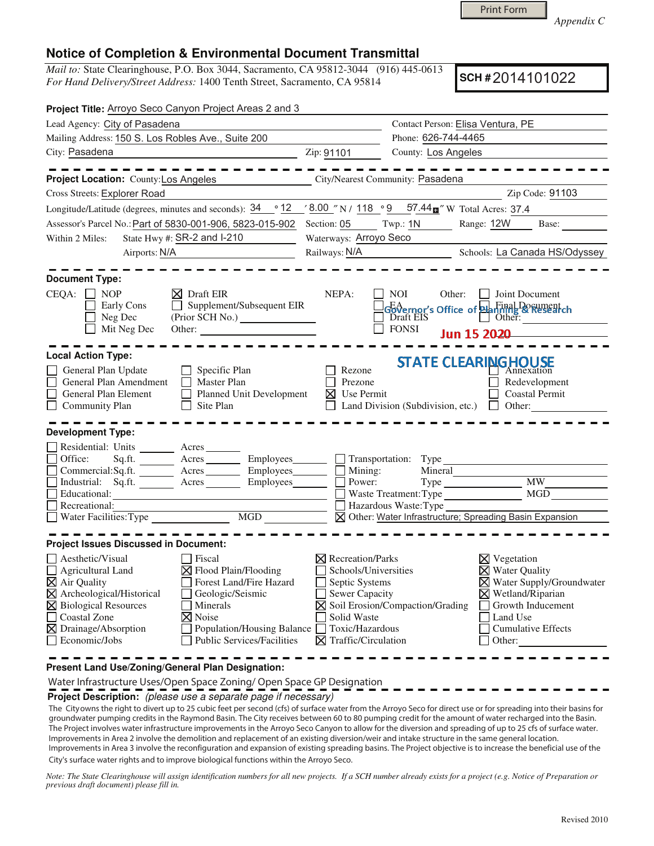Print Form

*Appendix C* 

## **Notice of Completion & Environmental Document Transmittal**

*Mail to:* State Clearinghouse, P.O. Box 3044, Sacramento, CA 95812-3044 (916) 445-0613 *For Hand Delivery/Street Address:* 1400 Tenth Street, Sacramento, CA 95814

**SCH #** 2014101022

| Contact Person: Elisa Ventura, PE<br>Phone: 626-744-4465<br>County: Los Angeles<br>City/Nearest Community: Pasadena<br>Zip Code: 91103                                                                                                                                                                                                                                                           |
|--------------------------------------------------------------------------------------------------------------------------------------------------------------------------------------------------------------------------------------------------------------------------------------------------------------------------------------------------------------------------------------------------|
|                                                                                                                                                                                                                                                                                                                                                                                                  |
|                                                                                                                                                                                                                                                                                                                                                                                                  |
|                                                                                                                                                                                                                                                                                                                                                                                                  |
|                                                                                                                                                                                                                                                                                                                                                                                                  |
|                                                                                                                                                                                                                                                                                                                                                                                                  |
|                                                                                                                                                                                                                                                                                                                                                                                                  |
| Longitude/Latitude (degrees, minutes and seconds): $\frac{34}{9}$ $\degree$ 12 $\degree$ (8.00 $\degree$ N / 118 $\degree$ 9 57.44 $\text{m}$ $\degree$ W Total Acres: 37.4                                                                                                                                                                                                                      |
| Twp: 1N<br>Range: 12W<br>Base:                                                                                                                                                                                                                                                                                                                                                                   |
| Waterways: Arroyo Seco                                                                                                                                                                                                                                                                                                                                                                           |
| Railways: N/A<br>Schools: La Canada HS/Odyssey                                                                                                                                                                                                                                                                                                                                                   |
|                                                                                                                                                                                                                                                                                                                                                                                                  |
|                                                                                                                                                                                                                                                                                                                                                                                                  |
| <b>NOI</b><br>Other:<br>  Joint Document<br>Governor's Office of <b>Planning &amp; Research</b><br>Draft EIS<br>Other: $\frac{1}{\sqrt{1-\frac{1}{2}}}\left  \frac{1}{2} \right $                                                                                                                                                                                                                |
| <b>FONSI</b><br>Jun 15 2020                                                                                                                                                                                                                                                                                                                                                                      |
| <b>STATE CLEARINGHOUSE</b><br>Rezone<br>Annexation<br>Prezone<br>Redevelopment<br>$\times$ Use Permit<br><b>Coastal Permit</b><br>Land Division (Subdivision, etc.) $\Box$ Other:                                                                                                                                                                                                                |
|                                                                                                                                                                                                                                                                                                                                                                                                  |
| $\Box$ Transportation: Type<br>Acres Employees Mining:<br>Mineral<br><b>MW</b><br>Power:<br>MGD<br>Waste Treatment: Type<br>Hazardous Waste:Type<br>⊠ Other: Water Infrastructure; Spreading Basin Expansion                                                                                                                                                                                     |
|                                                                                                                                                                                                                                                                                                                                                                                                  |
| $\boxtimes$ Recreation/Parks<br>$\times$ Vegetation<br>Schools/Universities<br>$\times$ Water Quality<br>X Water Supply/Groundwater<br>Septic Systems<br>Sewer Capacity<br>$\times$ Wetland/Riparian<br>$\boxtimes$ Soil Erosion/Compaction/Grading<br>Growth Inducement<br>Solid Waste<br>Land Use<br>Toxic/Hazardous<br><b>Cumulative Effects</b><br>$\boxtimes$ Traffic/Circulation<br>Other: |
|                                                                                                                                                                                                                                                                                                                                                                                                  |

Water Infrastructure Uses/Open Space Zoning/ Open Space GP Designation

**Project Description:** (please use a separate page if necessary)

The Cityowns the right to divert up to 25 cubic feet per second (cfs) of surface water from the Arroyo Seco for direct use or for spreading into their basins for groundwater pumping credits in the Raymond Basin. The City receives between 60 to 80 pumping credit for the amount of water recharged into the Basin. The Project involves water infrastructure improvements in the Arroyo Seco Canyon to allow for the diversion and spreading of up to 25 cfs of surface water. Improvements in Area 2 involve the demolition and replacement of an existing diversion/weir and intake structure in the same general location. Improvements in Area 3 involve the reconfiguration and expansion of existing spreading basins. The Project objective is to increase the beneficial use of the City's surface water rights and to improve biological functions within the Arroyo Seco.

Note: The State Clearinghouse will assign identification numbers for all new projects. If a SCH number already exists for a project (e.g. Notice of Preparation or *previous draft document) please fill in.*